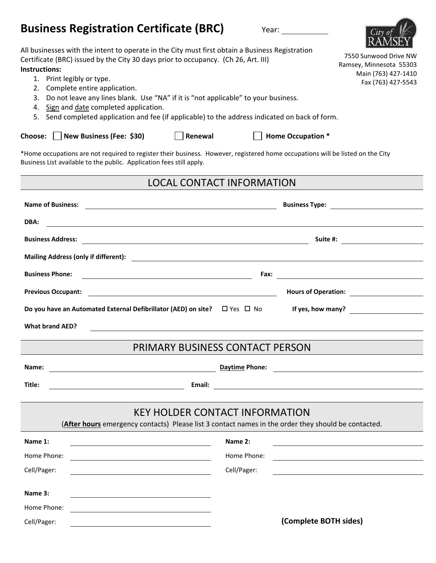| <b>Business Registration Certificate (BRC)</b><br>Year:                                                                                                                                                                                                                                                                                                                                                                                                                                                             |                                                                                               |
|---------------------------------------------------------------------------------------------------------------------------------------------------------------------------------------------------------------------------------------------------------------------------------------------------------------------------------------------------------------------------------------------------------------------------------------------------------------------------------------------------------------------|-----------------------------------------------------------------------------------------------|
| All businesses with the intent to operate in the City must first obtain a Business Registration<br>Certificate (BRC) issued by the City 30 days prior to occupancy. (Ch 26, Art. III)<br>Instructions:<br>1. Print legibly or type.<br>Complete entire application.<br>Do not leave any lines blank. Use "NA" if it is "not applicable" to your business.<br>3.<br>Sign and date completed application.<br>4.<br>Send completed application and fee (if applicable) to the address indicated on back of form.<br>5. | 7550 Sunwood Drive NW<br>Ramsey, Minnesota 55303<br>Main (763) 427-1410<br>Fax (763) 427-5543 |
| New Business (Fee: \$30)<br>Renewal<br><b>Home Occupation *</b><br><b>Choose:</b>                                                                                                                                                                                                                                                                                                                                                                                                                                   |                                                                                               |
| *Home occupations are not required to register their business. However, registered home occupations will be listed on the City<br>Business List available to the public. Application fees still apply.                                                                                                                                                                                                                                                                                                              |                                                                                               |
| LOCAL CONTACT INFORMATION                                                                                                                                                                                                                                                                                                                                                                                                                                                                                           |                                                                                               |

| <b>Name of Business:</b>                                                                                                                          | Business Type: <u>________________________</u>                                                                        |  |  |  |  |
|---------------------------------------------------------------------------------------------------------------------------------------------------|-----------------------------------------------------------------------------------------------------------------------|--|--|--|--|
| DBA:                                                                                                                                              |                                                                                                                       |  |  |  |  |
| <b>Business Address:</b><br><u> 1989 - Johann Barbara, martxa alemaniar argametar a contra a contra a contra a contra a contra a contra a co</u>  |                                                                                                                       |  |  |  |  |
|                                                                                                                                                   |                                                                                                                       |  |  |  |  |
| <b>Business Phone:</b><br><u> 1989 - Johann Barn, mars ann an t-Amhain an t-Amhain an t-Amhain an t-Amhain an t-Amhain an t-Amhain an t-Amh</u>   |                                                                                                                       |  |  |  |  |
| <b>Previous Occupant:</b><br><u> 1989 - Johann John Stein, markin fan it fjort fan de ferstjer fan de ferstjer fan de ferstjer fan de ferstje</u> |                                                                                                                       |  |  |  |  |
| Do you have an Automated External Defibrillator (AED) on site? $\Box$ Yes $\Box$ No                                                               | If yes, how many?                                                                                                     |  |  |  |  |
| <b>What brand AED?</b>                                                                                                                            |                                                                                                                       |  |  |  |  |
|                                                                                                                                                   |                                                                                                                       |  |  |  |  |
|                                                                                                                                                   | <b>PRIMARY BUSINESS CONTACT PERSON</b>                                                                                |  |  |  |  |
| Name:                                                                                                                                             |                                                                                                                       |  |  |  |  |
| Title:<br>Email:                                                                                                                                  | <u> 1989 - Johann Stoff, deutscher Stoff, der Stoff, der Stoff, der Stoff, der Stoff, der Stoff, der Stoff, der S</u> |  |  |  |  |
|                                                                                                                                                   |                                                                                                                       |  |  |  |  |
| <b>KEY HOLDER CONTACT INFORMATION</b>                                                                                                             |                                                                                                                       |  |  |  |  |
|                                                                                                                                                   | (After hours emergency contacts) Please list 3 contact names in the order they should be contacted.                   |  |  |  |  |
| Name 1:                                                                                                                                           | Name 2:                                                                                                               |  |  |  |  |
| Home Phone:                                                                                                                                       | Home Phone:                                                                                                           |  |  |  |  |
| Cell/Pager:                                                                                                                                       | Cell/Pager:                                                                                                           |  |  |  |  |
| Name 3:                                                                                                                                           |                                                                                                                       |  |  |  |  |
| Home Phone:                                                                                                                                       |                                                                                                                       |  |  |  |  |
| <u> 1989 - Johann Barbara, martxa alemaniar argumento de la contrada de la contrada de la contrada de la contrad</u><br>Cell/Pager:               | (Complete BOTH sides)                                                                                                 |  |  |  |  |
|                                                                                                                                                   |                                                                                                                       |  |  |  |  |